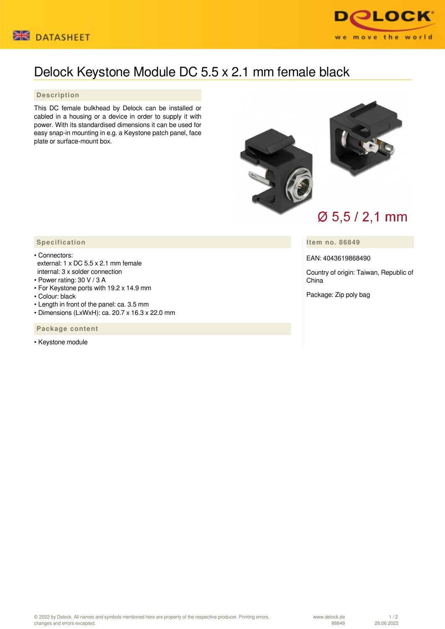



## Delock Keystone Module DC 5.5 x 2.1 mm female black

## **Description**

This DC female bulkhead by Delock can be installed or cabled in a housing or a device in order to supply it with power. With its standardised dimensions it can be used for easy snap-in mounting in e.g. a Keystone patch panel, face plate or surface-mount box.



## **Item no. 86849**

EAN: 4043619868490

Country of origin: Taiwan, Republic of China

Package: Zip poly bag

## **Specification**

- Connectors: external: 1 x DC 5.5 x 2.1 mm female internal: 3 x solder connection
- Power rating: 30 V / 3 A
- For Keystone ports with 19.2 x 14.9 mm
- Colour: black
- Length in front of the panel: ca. 3.5 mm
- Dimensions (LxWxH): ca. 20.7 x 16.3 x 22.0 mm

 **Package content**

• Keystone module